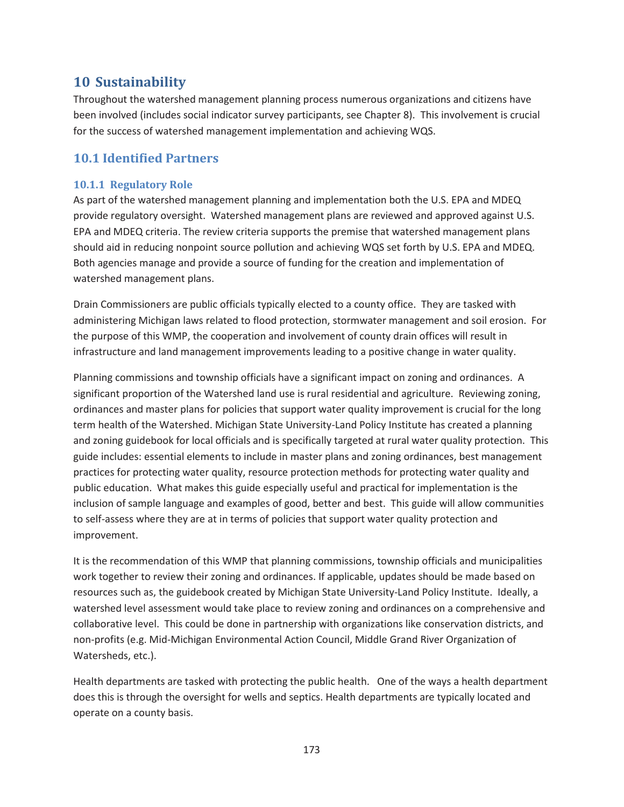# **10 Sustainability**

Throughout the watershed management planning process numerous organizations and citizens have been involved (includes social indicator survey participants, see Chapter 8). This involvement is crucial for the success of watershed management implementation and achieving WQS.

## **10.1 Identified Partners**

## **10.1.1 Regulatory Role**

As part of the watershed management planning and implementation both the U.S. EPA and MDEQ provide regulatory oversight. Watershed management plans are reviewed and approved against U.S. EPA and MDEQ criteria. The review criteria supports the premise that watershed management plans should aid in reducing nonpoint source pollution and achieving WQS set forth by U.S. EPA and MDEQ. Both agencies manage and provide a source of funding for the creation and implementation of watershed management plans.

Drain Commissioners are public officials typically elected to a county office. They are tasked with administering Michigan laws related to flood protection, stormwater management and soil erosion. For the purpose of this WMP, the cooperation and involvement of county drain offices will result in infrastructure and land management improvements leading to a positive change in water quality.

Planning commissions and township officials have a significant impact on zoning and ordinances. A significant proportion of the Watershed land use is rural residential and agriculture. Reviewing zoning, ordinances and master plans for policies that support water quality improvement is crucial for the long term health of the Watershed. Michigan State University-Land Policy Institute has created a planning and zoning guidebook for local officials and is specifically targeted at rural water quality protection. This guide includes: essential elements to include in master plans and zoning ordinances, best management practices for protecting water quality, resource protection methods for protecting water quality and public education. What makes this guide especially useful and practical for implementation is the inclusion of sample language and examples of good, better and best. This guide will allow communities to self-assess where they are at in terms of policies that support water quality protection and improvement.

It is the recommendation of this WMP that planning commissions, township officials and municipalities work together to review their zoning and ordinances. If applicable, updates should be made based on resources such as, the guidebook created by Michigan State University-Land Policy Institute. Ideally, a watershed level assessment would take place to review zoning and ordinances on a comprehensive and collaborative level. This could be done in partnership with organizations like conservation districts, and non-profits (e.g. Mid-Michigan Environmental Action Council, Middle Grand River Organization of Watersheds, etc.).

Health departments are tasked with protecting the public health. One of the ways a health department does this is through the oversight for wells and septics. Health departments are typically located and operate on a county basis.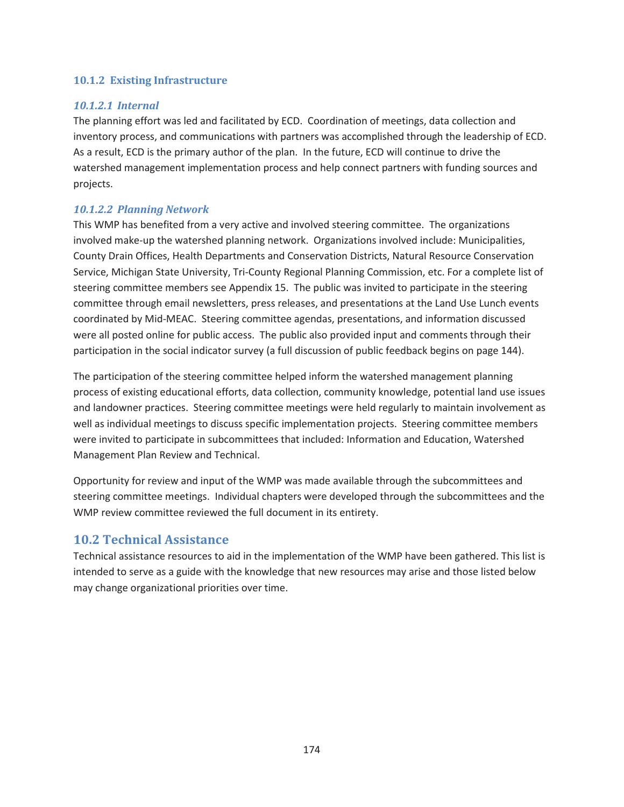#### **10.1.2 Existing Infrastructure**

#### *10.1.2.1 Internal*

The planning effort was led and facilitated by ECD. Coordination of meetings, data collection and inventory process, and communications with partners was accomplished through the leadership of ECD. As a result, ECD is the primary author of the plan. In the future, ECD will continue to drive the watershed management implementation process and help connect partners with funding sources and projects.

### *10.1.2.2 Planning Network*

This WMP has benefited from a very active and involved steering committee. The organizations involved make-up the watershed planning network. Organizations involved include: Municipalities, County Drain Offices, Health Departments and Conservation Districts, Natural Resource Conservation Service, Michigan State University, Tri-County Regional Planning Commission, etc. For a complete list of steering committee members see Appendix 15. The public was invited to participate in the steering committee through email newsletters, press releases, and presentations at the Land Use Lunch events coordinated by Mid-MEAC. Steering committee agendas, presentations, and information discussed were all posted online for public access. The public also provided input and comments through their participation in the social indicator survey (a full discussion of public feedback begins on page 144).

The participation of the steering committee helped inform the watershed management planning process of existing educational efforts, data collection, community knowledge, potential land use issues and landowner practices. Steering committee meetings were held regularly to maintain involvement as well as individual meetings to discuss specific implementation projects. Steering committee members were invited to participate in subcommittees that included: Information and Education, Watershed Management Plan Review and Technical.

Opportunity for review and input of the WMP was made available through the subcommittees and steering committee meetings. Individual chapters were developed through the subcommittees and the WMP review committee reviewed the full document in its entirety.

## **10.2 Technical Assistance**

Technical assistance resources to aid in the implementation of the WMP have been gathered. This list is intended to serve as a guide with the knowledge that new resources may arise and those listed below may change organizational priorities over time.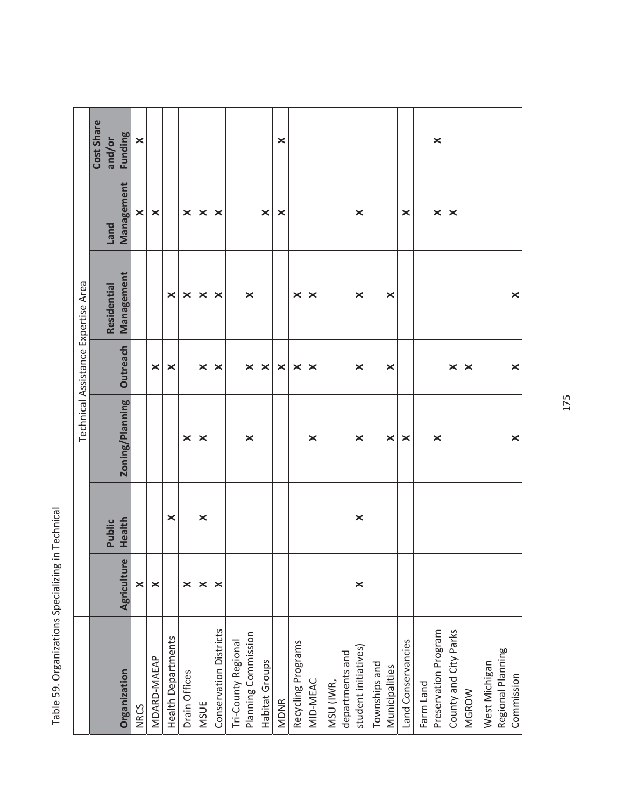|                           |                       |          |                       |                       | Technical Assistance Expertise Area |                       |            |
|---------------------------|-----------------------|----------|-----------------------|-----------------------|-------------------------------------|-----------------------|------------|
|                           |                       |          |                       |                       |                                     |                       | Cost Share |
|                           |                       | Public   |                       |                       | Residential                         | <b>Land</b>           | and/or     |
| Organization              | Agriculture           | Health   | Zoning/Planning       | Outreach              | Management                          | Management            | Funding    |
| <b>NRCS</b>               | $\times$              |          |                       |                       |                                     | $\boldsymbol{\times}$ | $\times$   |
| MDARD-MAEAP               | $\times$              |          |                       | ×                     |                                     | $\boldsymbol{\times}$ |            |
| <b>Health Departments</b> |                       | $\times$ |                       | ×                     | ×                                   |                       |            |
| Drain Offices             | $\times$              |          | ×                     |                       | ×                                   | ×                     |            |
| <b>MSUE</b>               | $\times$              | $\times$ | ×                     | ×                     | $\times$                            | $\times$              |            |
| Conservation Districts    | ×                     |          |                       | ×                     | ×                                   | ×                     |            |
| Tri-County Regional       |                       |          |                       |                       |                                     |                       |            |
| Planning Commission       |                       |          | ×                     | $\boldsymbol{\times}$ | ×                                   |                       |            |
| Habitat Groups            |                       |          |                       | ×                     |                                     | ×                     |            |
| <b>MDNR</b>               |                       |          |                       | ×                     |                                     | ×                     | ×          |
| Recycling Programs        |                       |          |                       | ×                     | ×                                   |                       |            |
| MID-MEAC                  |                       |          | $\boldsymbol{\times}$ | ×                     | $\times$                            |                       |            |
| MSU (IWR,                 |                       |          |                       |                       |                                     |                       |            |
| departments and           |                       |          |                       |                       |                                     |                       |            |
| student initiatives)      | $\boldsymbol{\times}$ | $\times$ | $\boldsymbol{\times}$ | $\times$              | $\boldsymbol{\times}$               | $\boldsymbol{\times}$ |            |
| Townships and             |                       |          |                       |                       |                                     |                       |            |
| Municipalities            |                       |          | $\times$              | ×                     | $\times$                            |                       |            |
| Land Conservancies        |                       |          | ×                     |                       |                                     | $\boldsymbol{\times}$ |            |
| Farm Land                 |                       |          |                       |                       |                                     |                       |            |
| Preservation Program      |                       |          | ×                     |                       |                                     | $\times$              | ×          |
| County and City Parks     |                       |          |                       | ×                     |                                     | ×                     |            |
| <b>MGROW</b>              |                       |          |                       | ×                     |                                     |                       |            |
| West Michigan             |                       |          |                       |                       |                                     |                       |            |
| Regional Planning         |                       |          |                       |                       |                                     |                       |            |
| Commission                |                       |          | $\times$              | $\times$              | $\times$                            |                       |            |

Table 59. Organizations Specializing in Technical Table 59. Organizations Specializing in Technical

175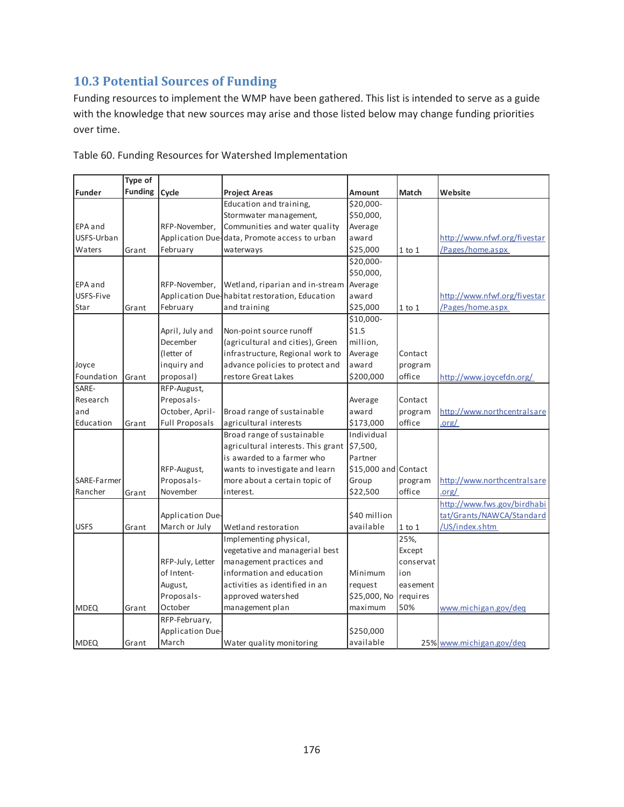# **10.3 Potential Sources of Funding**

Funding resources to implement the WMP have been gathered. This list is intended to serve as a guide with the knowledge that new sources may arise and those listed below may change funding priorities over time.

|               | Type of        |                       |                                                |                      |            |                              |
|---------------|----------------|-----------------------|------------------------------------------------|----------------------|------------|------------------------------|
| <b>Funder</b> | <b>Funding</b> | Cycle                 | <b>Project Areas</b>                           | Amount               | Match      | Website                      |
|               |                |                       | Education and training,                        | \$20,000-            |            |                              |
|               |                |                       | Stormwater management,                         | \$50,000,            |            |                              |
| EPA and       |                | RFP-November,         | Communities and water quality                  | Average              |            |                              |
| USFS-Urban    |                |                       | Application Due-data, Promote access to urban  | award                |            | http://www.nfwf.org/fivestar |
| Waters        | Grant          | February              | waterways                                      | \$25,000             | $1$ to $1$ | Pages/home.aspx              |
|               |                |                       |                                                | \$20,000-            |            |                              |
|               |                |                       |                                                | \$50,000,            |            |                              |
| EPA and       |                | RFP-November,         | Wetland, riparian and in-stream                | Average              |            |                              |
| USFS-Five     |                |                       | Application Due-habitat restoration, Education | award                |            | http://www.nfwf.org/fivestar |
| Star          | Grant          | February              | and training                                   | \$25,000             | $1$ to $1$ | Pages/home.aspx              |
|               |                |                       |                                                | \$10,000-            |            |                              |
|               |                | April, July and       | Non-point source runoff                        | \$1.5                |            |                              |
|               |                | December              | (agricultural and cities), Green               | million,             |            |                              |
|               |                | (letter of            | infrastructure, Regional work to               | Average              | Contact    |                              |
| Joyce         |                | inquiry and           | advance policies to protect and                | award                | program    |                              |
| Foundation    | Grant          | proposal)             | restore Great Lakes                            | \$200,000            | office     | http://www.joycefdn.org/     |
| SARE-         |                | RFP-August,           |                                                |                      |            |                              |
| Research      |                | Preposals-            |                                                | Average              | Contact    |                              |
| and           |                | October, April-       | Broad range of sustainable                     | award                | program    | http://www.northcentralsare  |
| Education     | Grant          | <b>Full Proposals</b> | agricultural interests                         | \$173,000            | office     | .org/                        |
|               |                |                       | Broad range of sustainable                     | Individual           |            |                              |
|               |                |                       | agricultural interests. This grant             | \$7,500,             |            |                              |
|               |                |                       | is awarded to a farmer who                     | Partner              |            |                              |
|               |                | RFP-August,           | wants to investigate and learn                 | \$15,000 and Contact |            |                              |
| SARE-Farmer   |                | Proposals-            | more about a certain topic of                  | Group                | program    | http://www.northcentralsare  |
| Rancher       | Grant          | November              | interest.                                      | \$22,500             | office     | .org/                        |
|               |                |                       |                                                |                      |            | http://www.fws.gov/birdhabi  |
|               |                | Application Due-      |                                                | \$40 million         |            | tat/Grants/NAWCA/Standard    |
| <b>USFS</b>   | Grant          | March or July         | Wetland restoration                            | available            | $1$ to $1$ | /US/index.shtm               |
|               |                |                       | Implementing physical,                         |                      | 25%,       |                              |
|               |                |                       | vegetative and managerial best                 |                      | Except     |                              |
|               |                | RFP-July, Letter      | management practices and                       |                      | conservat  |                              |
|               |                | of Intent-            | information and education                      | Minimum              | ion        |                              |
|               |                | August,               | activities as identified in an                 | request              | easement   |                              |
|               |                | Proposals-            | approved watershed                             | \$25,000, No         | requires   |                              |
| <b>MDEQ</b>   | Grant          | October               | management plan                                | maximum              | 50%        | www.michigan.gov/deq         |
|               |                | RFP-February,         |                                                |                      |            |                              |
|               |                | Application Due-      |                                                | \$250,000            |            |                              |
| <b>MDEQ</b>   | Grant          | March                 | Water quality monitoring                       | available            |            | 25% www.michigan.gov/deq     |

Table 60. Funding Resources for Watershed Implementation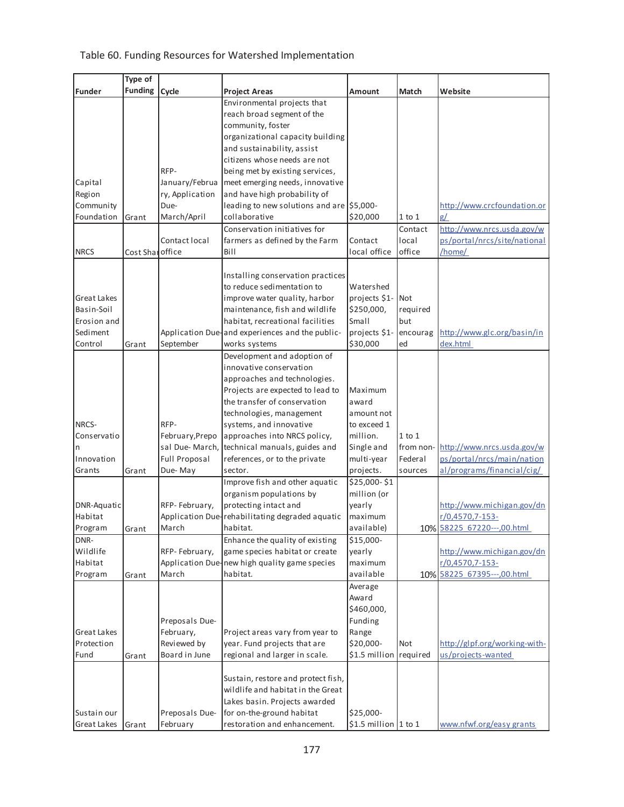## Table 60. Funding Resources for Watershed Implementation

|               | Type of         |                 |                                                 |                       |            |                               |
|---------------|-----------------|-----------------|-------------------------------------------------|-----------------------|------------|-------------------------------|
| <b>Funder</b> | <b>Funding</b>  | Cycle           | <b>Project Areas</b>                            | Amount                | Match      | Website                       |
|               |                 |                 | Environmental projects that                     |                       |            |                               |
|               |                 |                 | reach broad segment of the                      |                       |            |                               |
|               |                 |                 | community, foster                               |                       |            |                               |
|               |                 |                 | organizational capacity building                |                       |            |                               |
|               |                 |                 | and sustainability, assist                      |                       |            |                               |
|               |                 |                 | citizens whose needs are not                    |                       |            |                               |
|               |                 | RFP-            | being met by existing services,                 |                       |            |                               |
| Capital       |                 | January/Februa  | meet emerging needs, innovative                 |                       |            |                               |
| Region        |                 | ry, Application | and have high probability of                    |                       |            |                               |
| Community     |                 | Due-            | leading to new solutions and are \$5,000-       |                       |            | http://www.crcfoundation.or   |
| Foundation    | Grant           | March/April     | collaborative                                   | \$20,000              | $1$ to $1$ | g/                            |
|               |                 |                 | Conservation initiatives for                    |                       | Contact    | http://www.nrcs.usda.gov/w    |
|               |                 | Contact local   | farmers as defined by the Farm                  | Contact               | local      | ps/portal/nrcs/site/national  |
| <b>NRCS</b>   | Cost Sharoffice |                 | Bill                                            | local office          | office     | /home/                        |
|               |                 |                 |                                                 |                       |            |                               |
|               |                 |                 | Installing conservation practices               |                       |            |                               |
|               |                 |                 | to reduce sedimentation to                      | Watershed             |            |                               |
| Great Lakes   |                 |                 | improve water quality, harbor                   | projects \$1- Not     |            |                               |
| Basin-Soil    |                 |                 | maintenance, fish and wildlife                  | \$250,000,            | required   |                               |
| Erosion and   |                 |                 | habitat, recreational facilities                | Small                 | but        |                               |
| Sediment      |                 |                 | Application Due-and experiences and the public- | projects \$1-         | encourag   | http://www.glc.org/basin/in   |
| Control       | Grant           | September       | works systems                                   | \$30,000              | ed         | dex.html                      |
|               |                 |                 | Development and adoption of                     |                       |            |                               |
|               |                 |                 | innovative conservation                         |                       |            |                               |
|               |                 |                 | approaches and technologies.                    |                       |            |                               |
|               |                 |                 | Projects are expected to lead to                | Maximum               |            |                               |
|               |                 |                 | the transfer of conservation                    | award                 |            |                               |
|               |                 |                 | technologies, management                        | amount not            |            |                               |
| NRCS-         |                 | RFP-            | systems, and innovative                         | to exceed 1           |            |                               |
| Conservatio   |                 | February, Prepo | approaches into NRCS policy,                    | million.              | $1$ to $1$ |                               |
| n             |                 | sal Due-March,  | technical manuals, guides and                   | Single and            | from non-  | http://www.nrcs.usda.gov/w    |
| Innovation    |                 | Full Proposal   | references, or to the private                   | multi-year            | Federal    | ps/portal/nrcs/main/nation    |
| Grants        | Grant           | Due-May         | sector.                                         | projects.             | sources    | al/programs/financial/cig/    |
|               |                 |                 | Improve fish and other aquatic                  | \$25,000-\$1          |            |                               |
|               |                 |                 | organism populations by                         | million (or           |            |                               |
| DNR-Aquatic   |                 | RFP-February,   | protecting intact and                           | yearly                |            | http://www.michigan.gov/dn    |
| Habitat       |                 |                 | Application Due-rehabilitating degraded aquatic | maximum               |            | $r/0,4570,7-153-$             |
| Program       | Grant           | March           | habitat.                                        | available)            |            | 10% 58225 67220---,00.html    |
| DNR-          |                 |                 | Enhance the quality of existing                 | \$15,000-             |            |                               |
| Wildlife      |                 | RFP-February,   | game species habitat or create                  | yearly                |            | http://www.michigan.gov/dn    |
| Habitat       |                 |                 | Application Due-new high quality game species   | maximum               |            | r/0,4570,7-153-               |
| Program       | Grant           | March           | habitat.                                        | available             |            | 10% 58225 67395 --- ,00.html  |
|               |                 |                 |                                                 | Average               |            |                               |
|               |                 |                 |                                                 | Award                 |            |                               |
|               |                 |                 |                                                 | \$460,000,            |            |                               |
|               |                 | Preposals Due-  |                                                 | Funding               |            |                               |
| Great Lakes   |                 | February,       | Project areas vary from year to                 | Range                 |            |                               |
| Protection    |                 | Reviewed by     | year. Fund projects that are                    | \$20,000-             | Not        | http://glpf.org/working-with- |
| Fund          | Grant           | Board in June   | regional and larger in scale.                   | \$1.5 million         | required   | us/projects-wanted            |
|               |                 |                 |                                                 |                       |            |                               |
|               |                 |                 | Sustain, restore and protect fish,              |                       |            |                               |
|               |                 |                 | wildlife and habitat in the Great               |                       |            |                               |
|               |                 |                 | Lakes basin. Projects awarded                   |                       |            |                               |
| Sustain our   |                 | Preposals Due-  | for on-the-ground habitat                       | \$25,000-             |            |                               |
| Great Lakes   | Grant           | February        | restoration and enhancement.                    | $$1.5$ million 1 to 1 |            | www.nfwf.org/easy grants      |